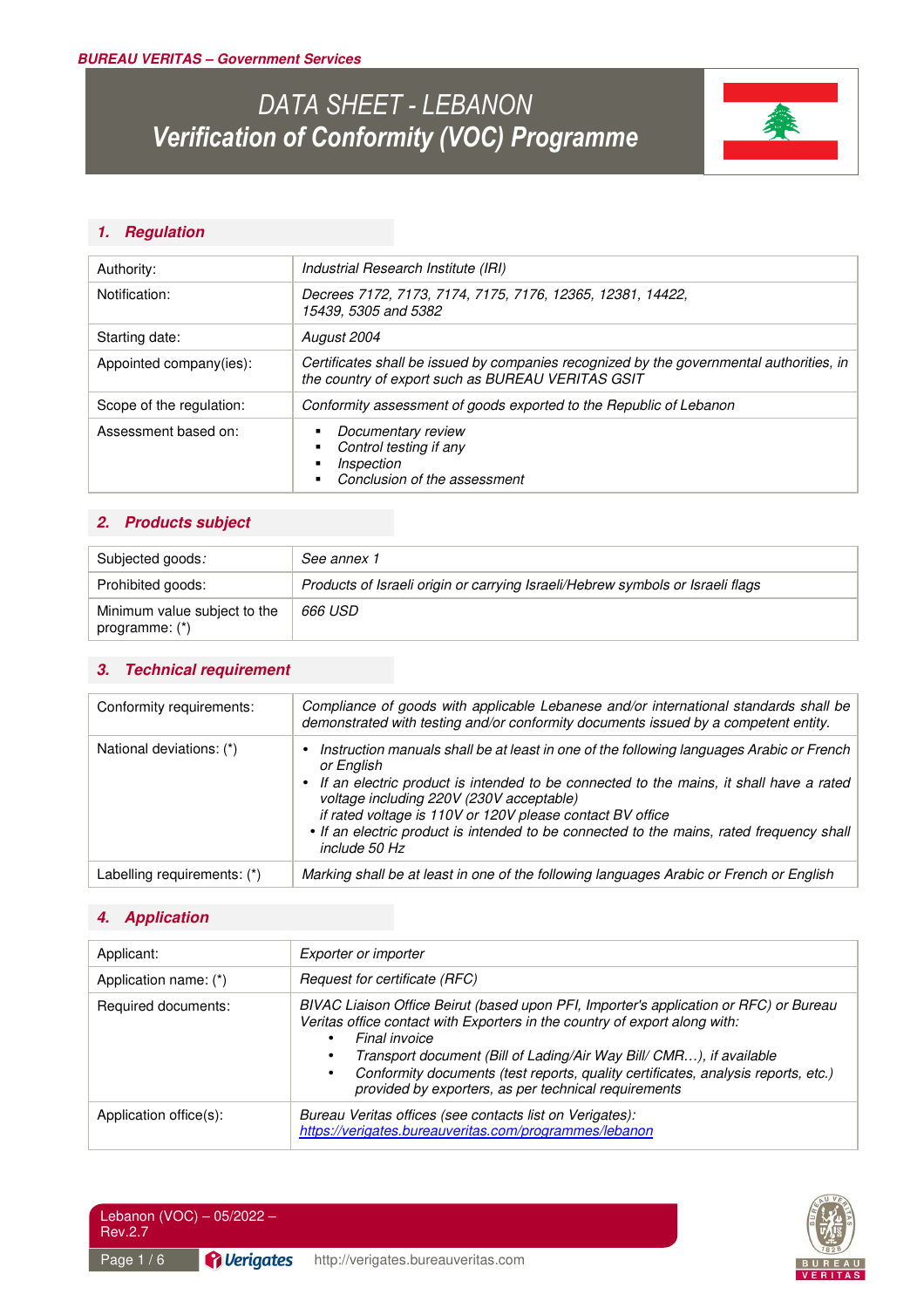# *DATA SHEET - LEBANON Verification of Conformity (VOC) Programme*



## *1. Regulation*

| Authority:               | Industrial Research Institute (IRI)                                                                                                           |  |
|--------------------------|-----------------------------------------------------------------------------------------------------------------------------------------------|--|
| Notification:            | Decrees 7172, 7173, 7174, 7175, 7176, 12365, 12381, 14422,<br>15439, 5305 and 5382                                                            |  |
| Starting date:           | August 2004                                                                                                                                   |  |
| Appointed company(ies):  | Certificates shall be issued by companies recognized by the governmental authorities, in<br>the country of export such as BUREAU VERITAS GSIT |  |
| Scope of the regulation: | Conformity assessment of goods exported to the Republic of Lebanon                                                                            |  |
| Assessment based on:     | Documentary review<br>Control testing if any<br>Inspection<br>Conclusion of the assessment                                                    |  |

## *2. Products subject*

| Subjected goods:                                 | See annex 1                                                                    |
|--------------------------------------------------|--------------------------------------------------------------------------------|
| Prohibited goods:                                | Products of Israeli origin or carrying Israeli/Hebrew symbols or Israeli flags |
| Minimum value subject to the<br>programme: $(*)$ | 666 USD                                                                        |

### *3. Technical requirement*

| Conformity requirements:    | Compliance of goods with applicable Lebanese and/or international standards shall be<br>demonstrated with testing and/or conformity documents issued by a competent entity.                                                                                                                                                                                                                                              |
|-----------------------------|--------------------------------------------------------------------------------------------------------------------------------------------------------------------------------------------------------------------------------------------------------------------------------------------------------------------------------------------------------------------------------------------------------------------------|
| National deviations: (*)    | Instruction manuals shall be at least in one of the following languages Arabic or French<br>or English<br>• If an electric product is intended to be connected to the mains, it shall have a rated<br>voltage including 220V (230V acceptable)<br>if rated voltage is 110V or 120V please contact BV office<br>• If an electric product is intended to be connected to the mains, rated frequency shall<br>include 50 Hz |
| Labelling requirements: (*) | Marking shall be at least in one of the following languages Arabic or French or English                                                                                                                                                                                                                                                                                                                                  |

## *4. Application*

| Applicant:             | Exporter or importer                                                                                                                                                                                                                                                                                                                                                                                          |  |
|------------------------|---------------------------------------------------------------------------------------------------------------------------------------------------------------------------------------------------------------------------------------------------------------------------------------------------------------------------------------------------------------------------------------------------------------|--|
| Application name: (*)  | Request for certificate (RFC)                                                                                                                                                                                                                                                                                                                                                                                 |  |
| Required documents:    | BIVAC Liaison Office Beirut (based upon PFI, Importer's application or RFC) or Bureau<br>Veritas office contact with Exporters in the country of export along with:<br>Final invoice<br>Transport document (Bill of Lading/Air Way Bill/ CMR), if available<br>Conformity documents (test reports, quality certificates, analysis reports, etc.)<br>٠<br>provided by exporters, as per technical requirements |  |
| Application office(s): | Bureau Veritas offices (see contacts list on Verigates):<br>https://verigates.bureauveritas.com/programmes/lebanon                                                                                                                                                                                                                                                                                            |  |



| Lebanon (VOC) - 05/2022 -<br>Rev.2.7 |                                  |                                    |
|--------------------------------------|----------------------------------|------------------------------------|
| Page $1/6$                           | <i><u><b>A</b></u></i> Verigates | http://verigates.bureauveritas.com |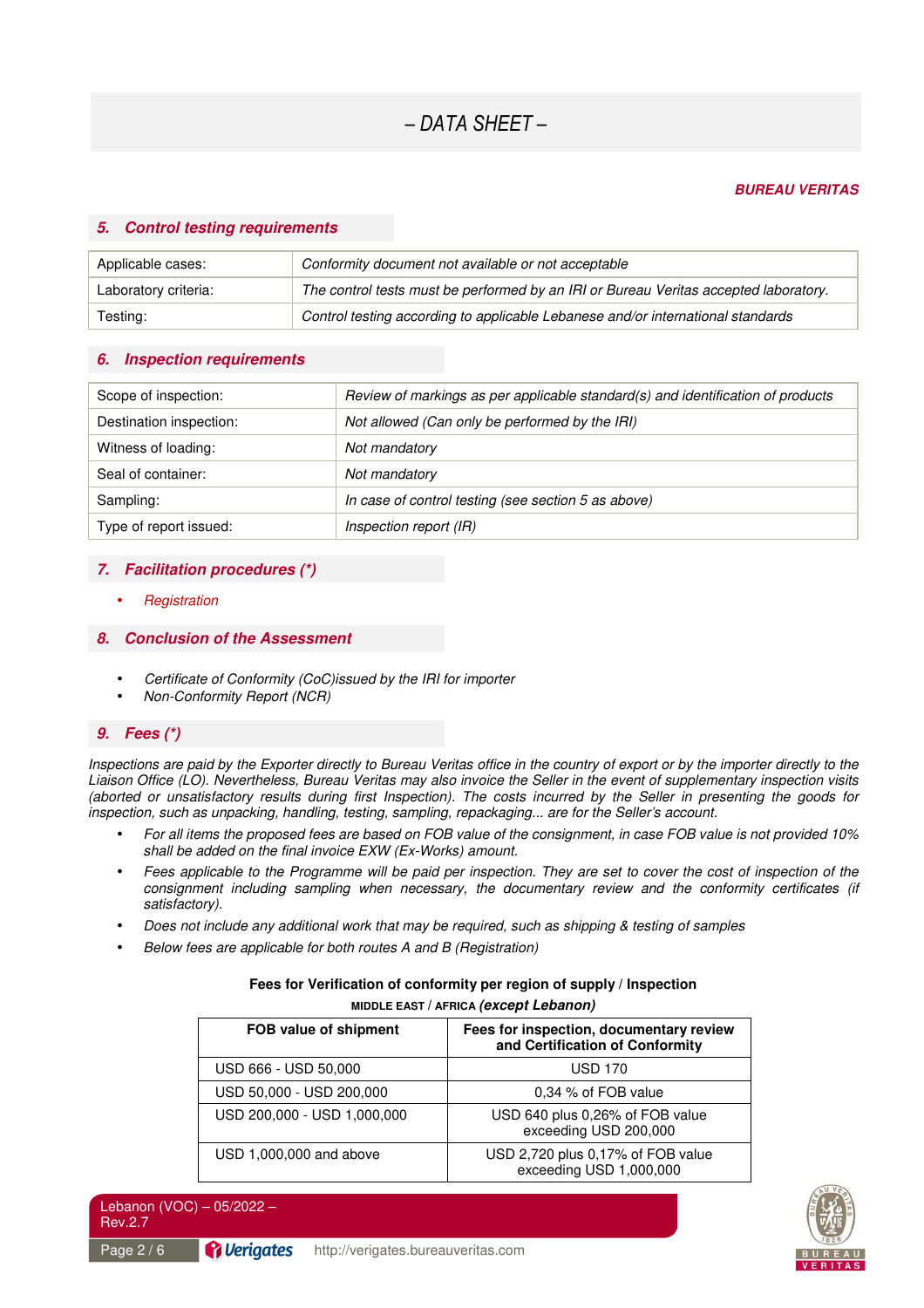#### *BUREAU VERITAS*

#### *5. Control testing requirements*

| Applicable cases:    | Conformity document not available or not acceptable                                  |  |
|----------------------|--------------------------------------------------------------------------------------|--|
| Laboratory criteria: | The control tests must be performed by an IRI or Bureau Veritas accepted laboratory. |  |
| Testing:             | Control testing according to applicable Lebanese and/or international standards      |  |

#### *6. Inspection requirements*

| Scope of inspection:    | Review of markings as per applicable standard(s) and identification of products |
|-------------------------|---------------------------------------------------------------------------------|
|                         |                                                                                 |
| Destination inspection: | Not allowed (Can only be performed by the IRI)                                  |
|                         |                                                                                 |
| Witness of loading:     | Not mandatory                                                                   |
| Seal of container:      | Not mandatory                                                                   |
|                         |                                                                                 |
|                         |                                                                                 |
| Sampling:               | In case of control testing (see section 5 as above)                             |
|                         |                                                                                 |
| Type of report issued:  | Inspection report (IR)                                                          |

#### *7. Facilitation procedures (\*)*

• *Registration* 

#### *8. Conclusion of the Assessment*

- *Certificate of Conformity (CoC)issued by the IRI for importer*
- *Non-Conformity Report (NCR)*

### *9. Fees (\*)*

*Inspections are paid by the Exporter directly to Bureau Veritas office in the country of export or by the importer directly to the Liaison Office (LO). Nevertheless, Bureau Veritas may also invoice the Seller in the event of supplementary inspection visits (aborted or unsatisfactory results during first Inspection). The costs incurred by the Seller in presenting the goods for inspection, such as unpacking, handling, testing, sampling, repackaging... are for the Seller's account.* 

- *For all items the proposed fees are based on FOB value of the consignment, in case FOB value is not provided 10% shall be added on the final invoice EXW (Ex-Works) amount.*
- *Fees applicable to the Programme will be paid per inspection. They are set to cover the cost of inspection of the consignment including sampling when necessary, the documentary review and the conformity certificates (if satisfactory).*
- *Does not include any additional work that may be required, such as shipping & testing of samples*
- *Below fees are applicable for both routes A and B (Registration)*

#### **Fees for Verification of conformity per region of supply / Inspection MIDDLE EAST / AFRICA** *(except Lebanon)*

| FOB value of shipment       | Fees for inspection, documentary review<br>and Certification of Conformity |
|-----------------------------|----------------------------------------------------------------------------|
| USD 666 - USD 50,000        | <b>USD 170</b>                                                             |
| USD 50,000 - USD 200,000    | 0.34 % of FOB value                                                        |
| USD 200,000 - USD 1,000,000 | USD 640 plus 0,26% of FOB value<br>exceeding USD 200,000                   |
| USD 1,000,000 and above     | USD 2,720 plus 0,17% of FOB value<br>exceeding USD 1,000,000               |



Lebanon (VOC) – 05/2022 – Rev.2.7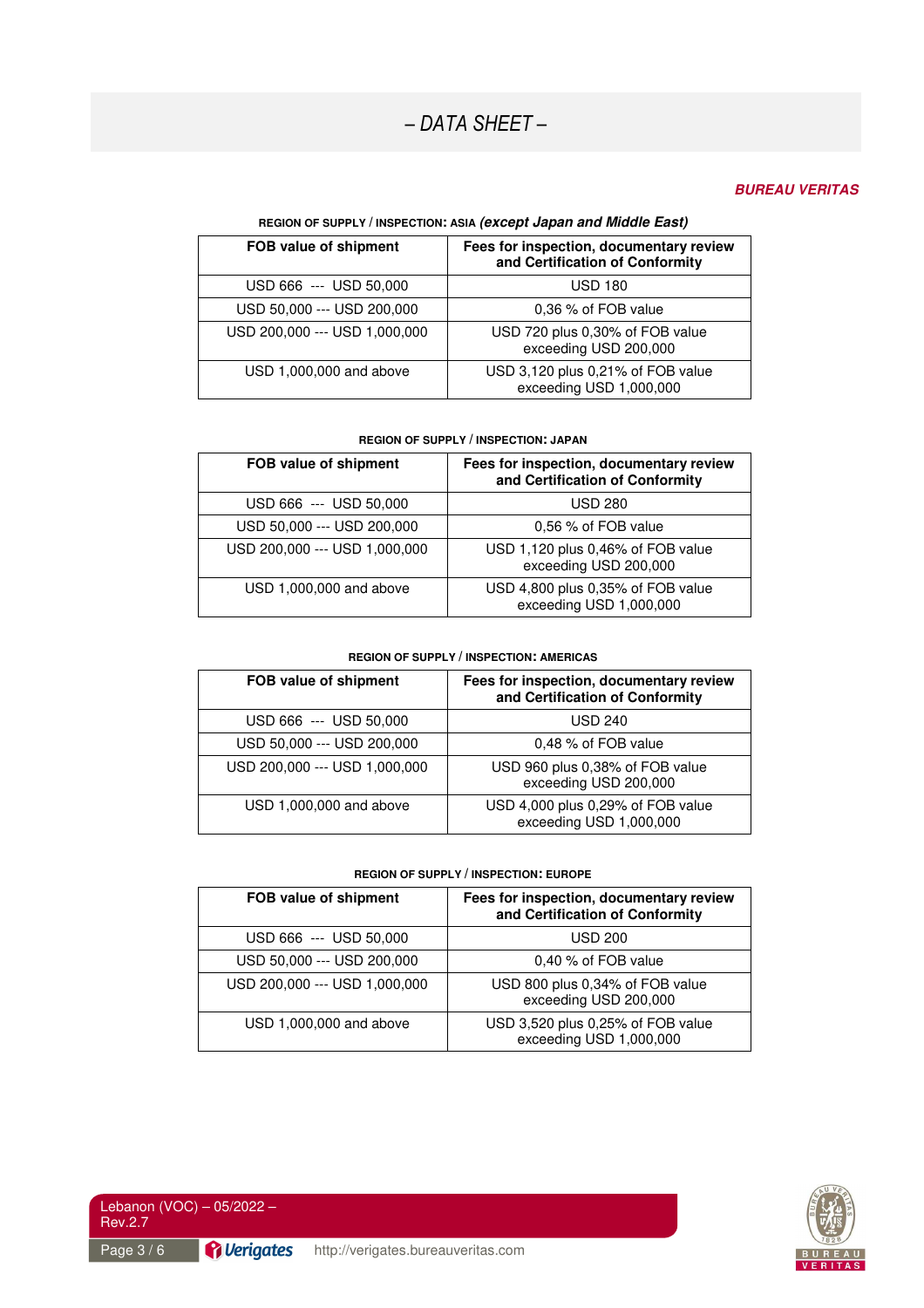#### *BUREAU VERITAS*

#### **REGION OF SUPPLY / INSPECTION: ASIA** *(except Japan and Middle East)*

| FOB value of shipment         | Fees for inspection, documentary review<br>and Certification of Conformity |
|-------------------------------|----------------------------------------------------------------------------|
| USD 666 --- USD 50,000        | <b>USD 180</b>                                                             |
| USD 50,000 --- USD 200,000    | 0.36 % of FOB value                                                        |
| USD 200,000 --- USD 1,000,000 | USD 720 plus 0,30% of FOB value<br>exceeding USD 200,000                   |
| USD 1,000,000 and above       | USD 3,120 plus 0,21% of FOB value<br>exceeding USD 1,000,000               |

#### **REGION OF SUPPLY / INSPECTION: JAPAN**

| FOB value of shipment         | Fees for inspection, documentary review<br>and Certification of Conformity |
|-------------------------------|----------------------------------------------------------------------------|
| USD 666 --- USD 50,000        | <b>USD 280</b>                                                             |
| USD 50,000 --- USD 200,000    | 0,56 % of FOB value                                                        |
| USD 200,000 --- USD 1,000,000 | USD 1,120 plus 0,46% of FOB value<br>exceeding USD 200,000                 |
| USD 1,000,000 and above       | USD 4,800 plus 0,35% of FOB value<br>exceeding USD 1,000,000               |

#### **REGION OF SUPPLY / INSPECTION: AMERICAS**

| FOB value of shipment         | Fees for inspection, documentary review<br>and Certification of Conformity |
|-------------------------------|----------------------------------------------------------------------------|
| USD 666 --- USD 50,000        | <b>USD 240</b>                                                             |
| USD 50,000 --- USD 200,000    | 0,48 % of FOB value                                                        |
| USD 200,000 --- USD 1,000,000 | USD 960 plus 0,38% of FOB value<br>exceeding USD 200,000                   |
| USD 1,000,000 and above       | USD 4,000 plus 0,29% of FOB value<br>exceeding USD 1,000,000               |

#### **REGION OF SUPPLY / INSPECTION: EUROPE**

| FOB value of shipment         | Fees for inspection, documentary review<br>and Certification of Conformity |
|-------------------------------|----------------------------------------------------------------------------|
| USD 666 --- USD 50,000        | <b>USD 200</b>                                                             |
| USD 50,000 --- USD 200,000    | 0,40 % of FOB value                                                        |
| USD 200,000 --- USD 1,000,000 | USD 800 plus 0,34% of FOB value<br>exceeding USD 200,000                   |
| USD 1,000,000 and above       | USD 3,520 plus 0,25% of FOB value<br>exceeding USD 1,000,000               |



Lebanon (VOC) – 05/2022 – Rev.2.7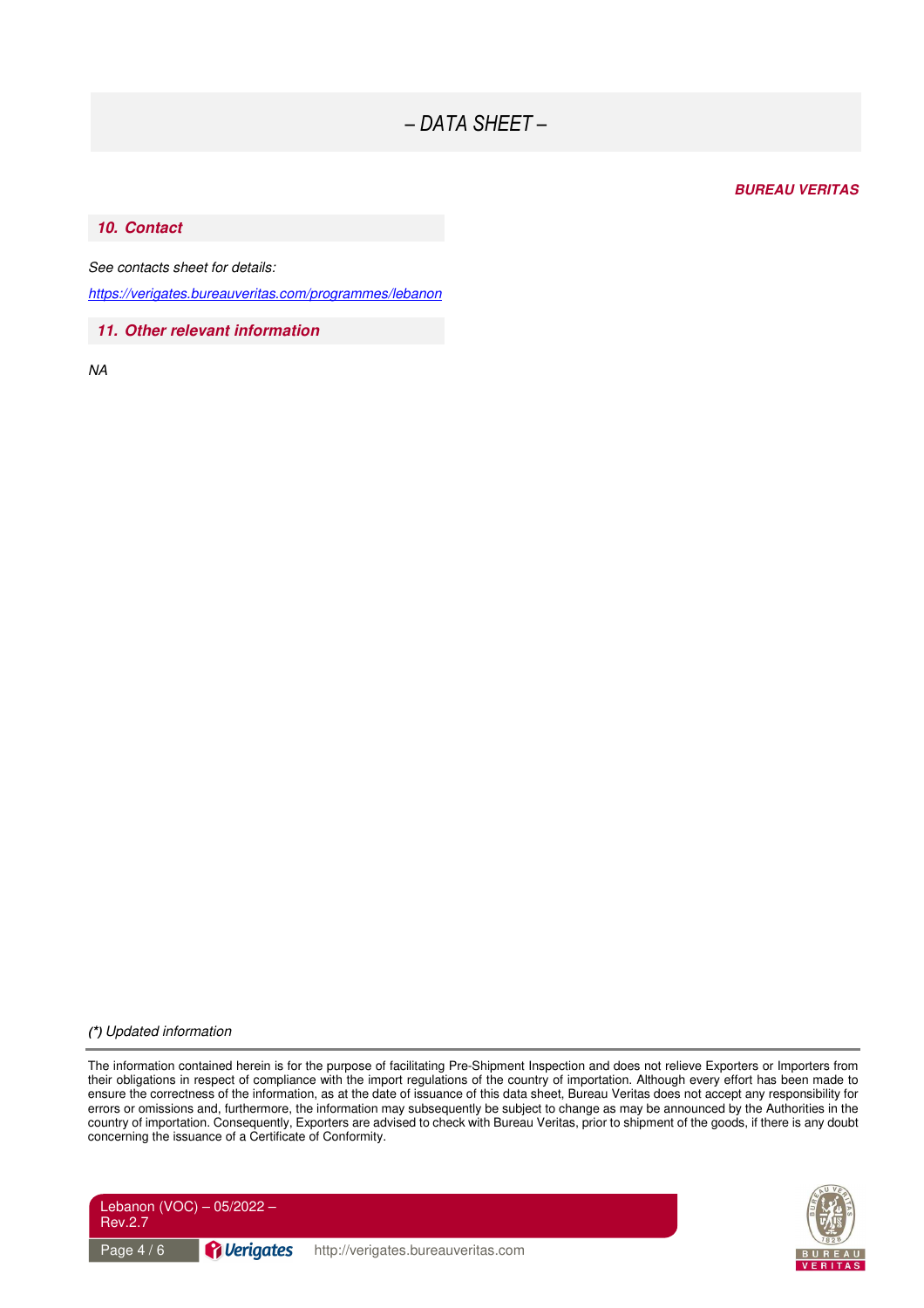#### *BUREAU VERITAS*

#### *10. Contact*

*See contacts sheet for details:* 

*https://verigates.bureauveritas.com/programmes/lebanon* 

*11. Other relevant information* 

*NA* 

#### *(\*) Updated information*

The information contained herein is for the purpose of facilitating Pre-Shipment Inspection and does not relieve Exporters or Importers from their obligations in respect of compliance with the import regulations of the country of importation. Although every effort has been made to ensure the correctness of the information, as at the date of issuance of this data sheet, Bureau Veritas does not accept any responsibility for errors or omissions and, furthermore, the information may subsequently be subject to change as may be announced by the Authorities in the country of importation. Consequently, Exporters are advised to check with Bureau Veritas, prior to shipment of the goods, if there is any doubt concerning the issuance of a Certificate of Conformity.



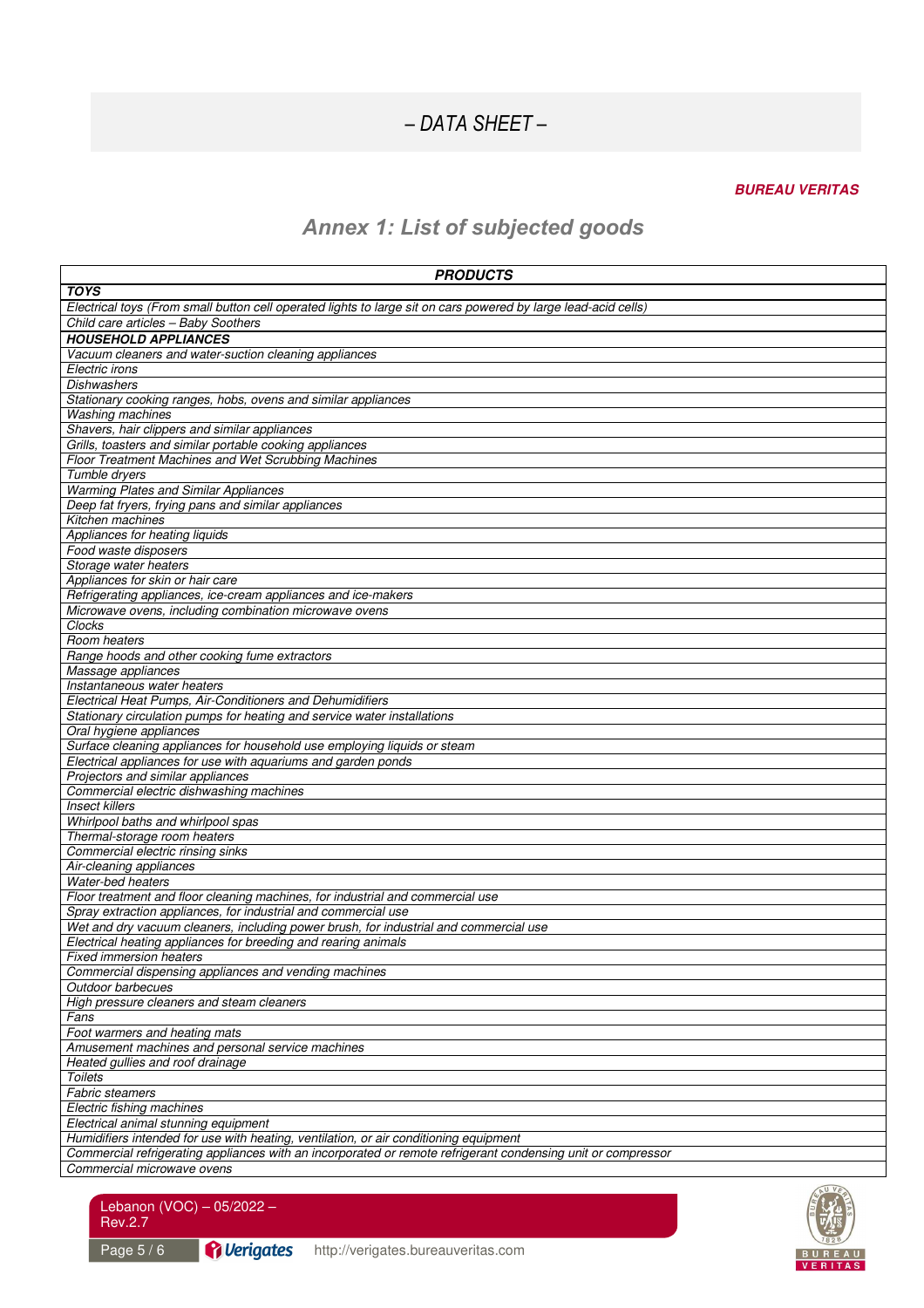### *BUREAU VERITAS*

## *Annex 1: List of subjected goods*

| <b>PRODUCTS</b>                                                                                                                                                                                       |
|-------------------------------------------------------------------------------------------------------------------------------------------------------------------------------------------------------|
| <b>TOYS</b>                                                                                                                                                                                           |
| Electrical toys (From small button cell operated lights to large sit on cars powered by large lead-acid cells)                                                                                        |
| Child care articles - Baby Soothers                                                                                                                                                                   |
| <b>HOUSEHOLD APPLIANCES</b>                                                                                                                                                                           |
| Vacuum cleaners and water-suction cleaning appliances                                                                                                                                                 |
| Electric irons                                                                                                                                                                                        |
| Dishwashers                                                                                                                                                                                           |
| Stationary cooking ranges, hobs, ovens and similar appliances                                                                                                                                         |
| <b>Washing machines</b>                                                                                                                                                                               |
| Shavers, hair clippers and similar appliances                                                                                                                                                         |
| Grills, toasters and similar portable cooking appliances                                                                                                                                              |
| <b>Floor Treatment Machines and Wet Scrubbing Machines</b>                                                                                                                                            |
| Tumble dryers                                                                                                                                                                                         |
| <b>Warming Plates and Similar Appliances</b>                                                                                                                                                          |
| Deep fat fryers, frying pans and similar appliances                                                                                                                                                   |
| Kitchen machines                                                                                                                                                                                      |
| Appliances for heating liquids                                                                                                                                                                        |
| Food waste disposers                                                                                                                                                                                  |
| Storage water heaters                                                                                                                                                                                 |
| Appliances for skin or hair care                                                                                                                                                                      |
| Refrigerating appliances, ice-cream appliances and ice-makers                                                                                                                                         |
| Microwave ovens, including combination microwave ovens                                                                                                                                                |
| Clocks                                                                                                                                                                                                |
| Room heaters                                                                                                                                                                                          |
| Range hoods and other cooking fume extractors                                                                                                                                                         |
| Massage appliances                                                                                                                                                                                    |
| Instantaneous water heaters                                                                                                                                                                           |
| Electrical Heat Pumps, Air-Conditioners and Dehumidifiers                                                                                                                                             |
| Stationary circulation pumps for heating and service water installations<br>Oral hygiene appliances                                                                                                   |
| Surface cleaning appliances for household use employing liquids or steam                                                                                                                              |
| Electrical appliances for use with aquariums and garden ponds                                                                                                                                         |
| Projectors and similar appliances                                                                                                                                                                     |
| Commercial electric dishwashing machines                                                                                                                                                              |
| <b>Insect killers</b>                                                                                                                                                                                 |
| Whirlpool baths and whirlpool spas                                                                                                                                                                    |
| Thermal-storage room heaters                                                                                                                                                                          |
| Commercial electric rinsing sinks                                                                                                                                                                     |
| Air-cleaning appliances                                                                                                                                                                               |
| Water-bed heaters                                                                                                                                                                                     |
| Floor treatment and floor cleaning machines, for industrial and commercial use                                                                                                                        |
| Spray extraction appliances, for industrial and commercial use                                                                                                                                        |
| Wet and dry vacuum cleaners, including power brush, for industrial and commercial use                                                                                                                 |
| Electrical heating appliances for breeding and rearing animals                                                                                                                                        |
| <b>Fixed immersion heaters</b>                                                                                                                                                                        |
| Commercial dispensing appliances and vending machines                                                                                                                                                 |
| Outdoor barbecues                                                                                                                                                                                     |
| High pressure cleaners and steam cleaners                                                                                                                                                             |
| Fans                                                                                                                                                                                                  |
| Foot warmers and heating mats                                                                                                                                                                         |
| Amusement machines and personal service machines                                                                                                                                                      |
| Heated gullies and roof drainage                                                                                                                                                                      |
| Toilets                                                                                                                                                                                               |
| <b>Fabric steamers</b>                                                                                                                                                                                |
| Electric fishing machines                                                                                                                                                                             |
| Electrical animal stunning equipment                                                                                                                                                                  |
| Humidifiers intended for use with heating, ventilation, or air conditioning equipment<br>Commercial refrigerating appliances with an incorporated or remote refrigerant condensing unit or compressor |
| Commercial microwave ovens                                                                                                                                                                            |
|                                                                                                                                                                                                       |

Page 5 / 6 **Page 1 B G Allerigates** http://verigates.bureauveritas.com

Lebanon (VOC) – 05/2022 –

Rev.2.7